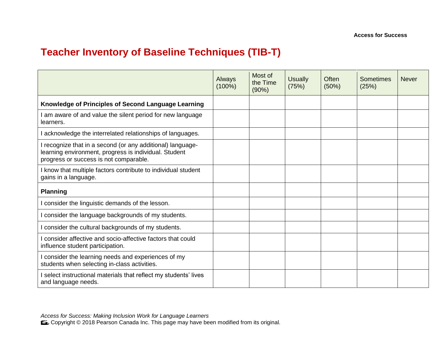## **Teacher Inventory of Baseline Techniques (TIB-T)**

|                                                                                                                                                               | Always<br>$(100\%)$ | Most of<br>the Time<br>(90%) | <b>Usually</b><br>(75%) | <b>Often</b><br>(50%) | Sometimes<br>(25%) | <b>Never</b> |
|---------------------------------------------------------------------------------------------------------------------------------------------------------------|---------------------|------------------------------|-------------------------|-----------------------|--------------------|--------------|
| Knowledge of Principles of Second Language Learning                                                                                                           |                     |                              |                         |                       |                    |              |
| am aware of and value the silent period for new language<br>learners.                                                                                         |                     |                              |                         |                       |                    |              |
| I acknowledge the interrelated relationships of languages.                                                                                                    |                     |                              |                         |                       |                    |              |
| I recognize that in a second (or any additional) language-<br>learning environment, progress is individual. Student<br>progress or success is not comparable. |                     |                              |                         |                       |                    |              |
| I know that multiple factors contribute to individual student<br>gains in a language.                                                                         |                     |                              |                         |                       |                    |              |
| <b>Planning</b>                                                                                                                                               |                     |                              |                         |                       |                    |              |
| I consider the linguistic demands of the lesson.                                                                                                              |                     |                              |                         |                       |                    |              |
| I consider the language backgrounds of my students.                                                                                                           |                     |                              |                         |                       |                    |              |
| I consider the cultural backgrounds of my students.                                                                                                           |                     |                              |                         |                       |                    |              |
| I consider affective and socio-affective factors that could<br>influence student participation.                                                               |                     |                              |                         |                       |                    |              |
| I consider the learning needs and experiences of my<br>students when selecting in-class activities.                                                           |                     |                              |                         |                       |                    |              |
| I select instructional materials that reflect my students' lives<br>and language needs.                                                                       |                     |                              |                         |                       |                    |              |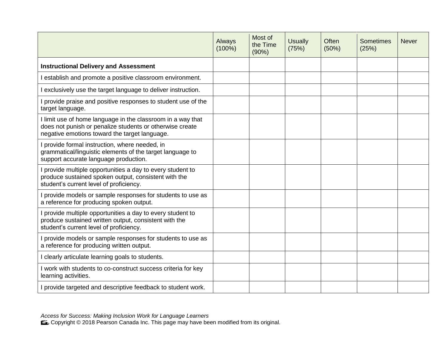|                                                                                                                                                                          | Always<br>$(100\%)$ | Most of<br>the Time<br>(90%) | <b>Usually</b><br>(75%) | Often<br>(50%) | <b>Sometimes</b><br>(25%) | <b>Never</b> |
|--------------------------------------------------------------------------------------------------------------------------------------------------------------------------|---------------------|------------------------------|-------------------------|----------------|---------------------------|--------------|
| <b>Instructional Delivery and Assessment</b>                                                                                                                             |                     |                              |                         |                |                           |              |
| establish and promote a positive classroom environment.                                                                                                                  |                     |                              |                         |                |                           |              |
| exclusively use the target language to deliver instruction.                                                                                                              |                     |                              |                         |                |                           |              |
| I provide praise and positive responses to student use of the<br>target language.                                                                                        |                     |                              |                         |                |                           |              |
| I limit use of home language in the classroom in a way that<br>does not punish or penalize students or otherwise create<br>negative emotions toward the target language. |                     |                              |                         |                |                           |              |
| provide formal instruction, where needed, in<br>grammatical/linguistic elements of the target language to<br>support accurate language production.                       |                     |                              |                         |                |                           |              |
| I provide multiple opportunities a day to every student to<br>produce sustained spoken output, consistent with the<br>student's current level of proficiency.            |                     |                              |                         |                |                           |              |
| provide models or sample responses for students to use as<br>a reference for producing spoken output.                                                                    |                     |                              |                         |                |                           |              |
| I provide multiple opportunities a day to every student to<br>produce sustained written output, consistent with the<br>student's current level of proficiency.           |                     |                              |                         |                |                           |              |
| provide models or sample responses for students to use as<br>a reference for producing written output.                                                                   |                     |                              |                         |                |                           |              |
| I clearly articulate learning goals to students.                                                                                                                         |                     |                              |                         |                |                           |              |
| I work with students to co-construct success criteria for key<br>learning activities.                                                                                    |                     |                              |                         |                |                           |              |
| I provide targeted and descriptive feedback to student work.                                                                                                             |                     |                              |                         |                |                           |              |